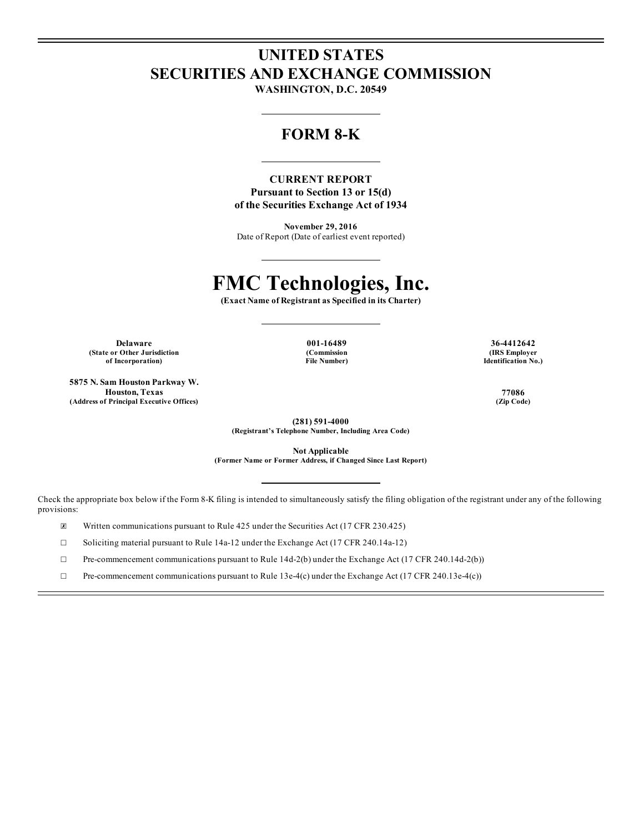## **UNITED STATES SECURITIES AND EXCHANGE COMMISSION**

**WASHINGTON, D.C. 20549**

## **FORM 8-K**

**CURRENT REPORT Pursuant to Section 13 or 15(d) of the Securities Exchange Act of 1934**

**November 29, 2016** Date of Report (Date of earliest event reported)

# **FMC Technologies, Inc.**

**(Exact Name of Registrant as Specified in its Charter)**

**(State or Other Jurisdiction of Incorporation)**

**5875 N. Sam Houston Parkway W. Houston, Texas 77086 (Address of Principal Executive Offices) (Zip Code)**

**(Commission File Number)**

**Delaware 001-16489 36-4412642 (IRS Employer Identification No.)**

**(281) 591-4000 (Registrant's Telephone Number, Including Area Code)**

**Not Applicable (Former Name or Former Address, if Changed Since Last Report)**

Check the appropriate box below if the Form 8-K filing is intended to simultaneously satisfy the filing obligation of the registrant under any of the following provisions:

☒ Written communications pursuant to Rule 425 under the Securities Act (17 CFR 230.425)

☐ Soliciting material pursuant to Rule 14a-12 under the Exchange Act (17 CFR 240.14a-12)

☐ Pre-commencement communications pursuant to Rule 14d-2(b) under the Exchange Act (17 CFR 240.14d-2(b))

☐ Pre-commencement communications pursuant to Rule 13e-4(c) under the Exchange Act (17 CFR 240.13e-4(c))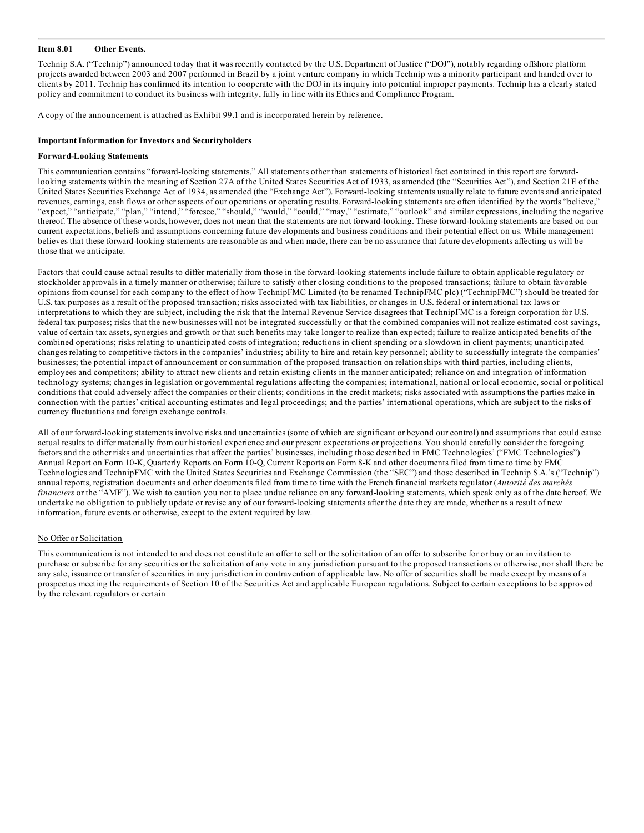#### **Item 8.01 Other Events.**

Technip S.A. ("Technip") announced today that it was recently contacted by the U.S. Department of Justice ("DOJ"), notably regarding offshore platform projects awarded between 2003 and 2007 performed in Brazil by a joint venture company in which Technip was a minority participant and handed over to clients by 2011. Technip has confirmed its intention to cooperate with the DOJ in its inquiry into potential improper payments. Technip has a clearly stated policy and commitment to conduct its business with integrity, fully in line with its Ethics and Compliance Program.

A copy of the announcement is attached as Exhibit 99.1 and is incorporated herein by reference.

#### **Important Information for Investors and Securityholders**

#### **Forward-Looking Statements**

This communication contains "forward-looking statements." All statements other than statements of historical fact contained in this report are forwardlooking statements within the meaning of Section 27A of the United States Securities Act of 1933, as amended (the "Securities Act"), and Section 21E of the United States Securities Exchange Act of 1934, as amended (the "Exchange Act"). Forward-looking statements usually relate to future events and anticipated revenues, earnings, cash flows or other aspects of our operations or operating results. Forward-looking statements are often identified by the words "believe," "expect," "anticipate," "plan," "intend," "foresee," "should," "would," "could," "may," "estimate," "outlook" and similar expressions, including the negative thereof. The absence of these words, however, does not mean that the statements are not forward-looking. These forward-looking statements are based on our current expectations, beliefs and assumptions concerning future developments and business conditions and their potential effect on us. While management believes that these forward-looking statements are reasonable as and when made, there can be no assurance that future developments affecting us will be those that we anticipate.

Factors that could cause actual results to differ materially from those in the forward-looking statements include failure to obtain applicable regulatory or stockholder approvals in a timely manner or otherwise; failure to satisfy other closing conditions to the proposed transactions; failure to obtain favorable opinions from counsel for each company to the effect of how TechnipFMC Limited (to be renamed TechnipFMC plc) ("TechnipFMC") should be treated for U.S. tax purposes as a result of the proposed transaction; risks associated with tax liabilities, or changes in U.S. federal or international tax laws or interpretations to which they are subject, including the risk that the Internal Revenue Service disagrees that TechnipFMC is a foreign corporation for U.S. federal tax purposes; risks that the new businesses will not be integrated successfully or that the combined companies will not realize estimated cost savings, value of certain tax assets, synergies and growth or that such benefits may take longer to realize than expected; failure to realize anticipated benefits of the combined operations; risks relating to unanticipated costs of integration; reductions in client spending or a slowdown in client payments; unanticipated changes relating to competitive factors in the companies' industries; ability to hire and retain key personnel; ability to successfully integrate the companies' businesses; the potential impact of announcement or consummation of the proposed transaction on relationships with third parties, including clients, employees and competitors; ability to attract new clients and retain existing clients in the manner anticipated; reliance on and integration of information technology systems; changes in legislation or governmental regulations affecting the companies; international, national or local economic, social or political conditions that could adversely affect the companies or their clients; conditions in the credit markets; risks associated with assumptions the parties make in connection with the parties' critical accounting estimates and legal proceedings; and the parties' international operations, which are subject to the risks of currency fluctuations and foreign exchange controls.

All of our forward-looking statements involve risks and uncertainties (some of which are significant or beyond our control) and assumptions that could cause actual results to differ materially from our historical experience and our present expectations or projections. You should carefully consider the foregoing factors and the other risks and uncertainties that affect the parties' businesses, including those described in FMC Technologies' ("FMC Technologies") Annual Report on Form 10-K, Quarterly Reports on Form 10-Q, Current Reports on Form 8-K and other documents filed from time to time by FMC Technologies and TechnipFMC with the United States Securities and Exchange Commission (the "SEC") and those described in Technip S.A.'s ("Technip") annual reports, registration documents and other documents filed from time to time with the French financial markets regulator (*Autorité des marchés financiers* or the "AMF"). We wish to caution you not to place undue reliance on any forward-looking statements, which speak only as of the date hereof. We undertake no obligation to publicly update or revise any of our forward-looking statements after the date they are made, whether as a result of new information, future events or otherwise, except to the extent required by law.

#### No Offer or Solicitation

This communication is not intended to and does not constitute an offer to sell or the solicitation of an offer to subscribe for or buy or an invitation to purchase or subscribe for any securities or the solicitation of any vote in any jurisdiction pursuant to the proposed transactions or otherwise, nor shall there be any sale, issuance or transfer of securities in any jurisdiction in contravention of applicable law. No offer of securities shall be made except by means of a prospectus meeting the requirements of Section 10 of the Securities Act and applicable European regulations. Subject to certain exceptions to be approved by the relevant regulators or certain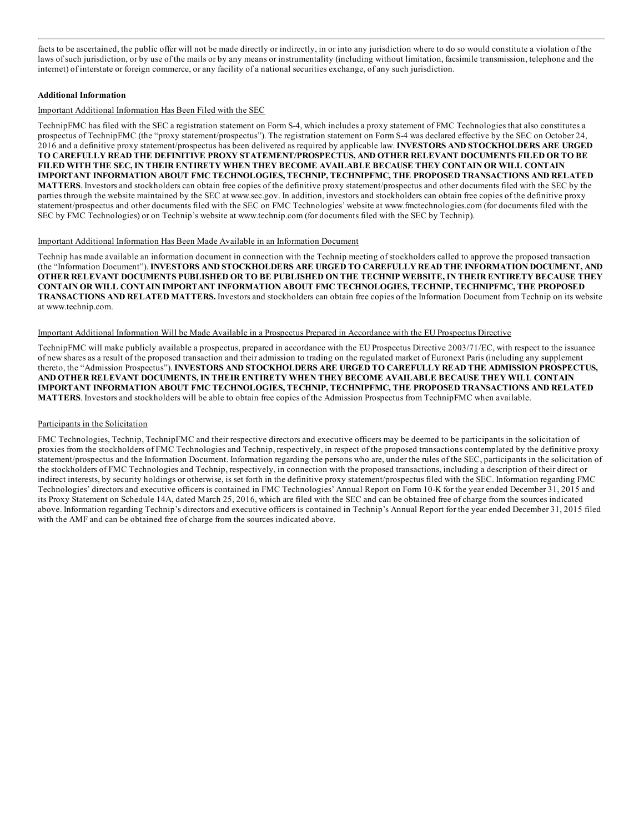facts to be ascertained, the public offer will not be made directly or indirectly, in or into any jurisdiction where to do so would constitute a violation of the laws of such jurisdiction, or by use of the mails or by any means or instrumentality (including without limitation, facsimile transmission, telephone and the internet) of interstate or foreign commerce, or any facility of a national securities exchange, of any such jurisdiction.

#### **Additional Information**

#### Important Additional Information Has Been Filed with the SEC

TechnipFMC has filed with the SEC a registration statement on Form S-4, which includes a proxy statement of FMC Technologies that also constitutes a prospectus of TechnipFMC (the "proxy statement/prospectus"). The registration statement on Form S-4 was declared effective by the SEC on October 24, 2016 and a definitive proxy statement/prospectus has been delivered as required by applicable law. **INVESTORS AND STOCKHOLDERS ARE URGED TO CAREFULLY READ THE DEFINITIVE PROXY STATEMENT/PROSPECTUS, AND OTHER RELEVANT DOCUMENTS FILED OR TO BE FILED WITH THE SEC, IN THEIR ENTIRETY WHEN THEY BECOME AVAILABLE BECAUSE THEY CONTAIN OR WILL CONTAIN IMPORTANT INFORMATION ABOUT FMC TECHNOLOGIES, TECHNIP, TECHNIPFMC, THE PROPOSED TRANSACTIONS AND RELATED MATTERS**. Investors and stockholders can obtain free copies of the definitive proxy statement/prospectus and other documents filed with the SEC by the parties through the website maintained by the SEC at www.sec.gov. In addition, investors and stockholders can obtain free copies of the definitive proxy statement/prospectus and other documents filed with the SEC on FMC Technologies' website at www.fmctechnologies.com (for documents filed with the SEC by FMC Technologies) or on Technip's website at www.technip.com (for documents filed with the SEC by Technip).

#### Important Additional Information Has Been Made Available in an Information Document

Technip has made available an information document in connection with the Technip meeting of stockholders called to approve the proposed transaction (the "Information Document"). **INVESTORS AND STOCKHOLDERS ARE URGED TO CAREFULLY READ THE INFORMATION DOCUMENT, AND** OTHER RELEVANT DOCUMENTS PUBLISHED OR TO BE PUBLISHED ON THE TECHNIP WEBSITE, IN THEIR ENTIRETY BECAUSE THEY **CONTAIN OR WILL CONTAIN IMPORTANT INFORMATION ABOUT FMC TECHNOLOGIES, TECHNIP, TECHNIPFMC, THE PROPOSED TRANSACTIONS AND RELATED MATTERS.** Investors and stockholders can obtain free copies of the Information Document from Technip on its website at www.technip.com.

#### Important Additional Information Will be Made Available in a Prospectus Prepared in Accordance with the EU Prospectus Directive

TechnipFMC will make publicly available a prospectus, prepared in accordance with the EU Prospectus Directive 2003/71/EC, with respect to the issuance of new shares as a result of the proposed transaction and their admission to trading on the regulated market of Euronext Paris (including any supplement thereto, the "Admission Prospectus"). **INVESTORS AND STOCKHOLDERS ARE URGED TO CAREFULLY READ THE ADMISSION PROSPECTUS, AND OTHER RELEVANT DOCUMENTS, IN THEIR ENTIRETY WHEN THEY BECOME AVAILABLE BECAUSE THEY WILL CONTAIN IMPORTANT INFORMATION ABOUT FMC TECHNOLOGIES, TECHNIP, TECHNIPFMC, THE PROPOSED TRANSACTIONS AND RELATED MATTERS**. Investors and stockholders will be able to obtain free copies of the Admission Prospectus from TechnipFMC when available.

#### Participants in the Solicitation

FMC Technologies, Technip, TechnipFMC and their respective directors and executive officers may be deemed to be participants in the solicitation of proxies from the stockholders of FMC Technologies and Technip, respectively, in respect of the proposed transactions contemplated by the definitive proxy statement/prospectus and the Information Document. Information regarding the persons who are, under the rules of the SEC, participants in the solicitation of the stockholders of FMC Technologies and Technip, respectively, in connection with the proposed transactions, including a description of their direct or indirect interests, by security holdings or otherwise, is set forth in the definitive proxy statement/prospectus filed with the SEC. Information regarding FMC Technologies' directors and executive officers is contained in FMC Technologies' Annual Report on Form 10-K for the year ended December 31, 2015 and its Proxy Statement on Schedule 14A, dated March 25, 2016, which are filed with the SEC and can be obtained free of charge from the sources indicated above. Information regarding Technip's directors and executive officers is contained in Technip's Annual Report for the year ended December 31, 2015 filed with the AMF and can be obtained free of charge from the sources indicated above.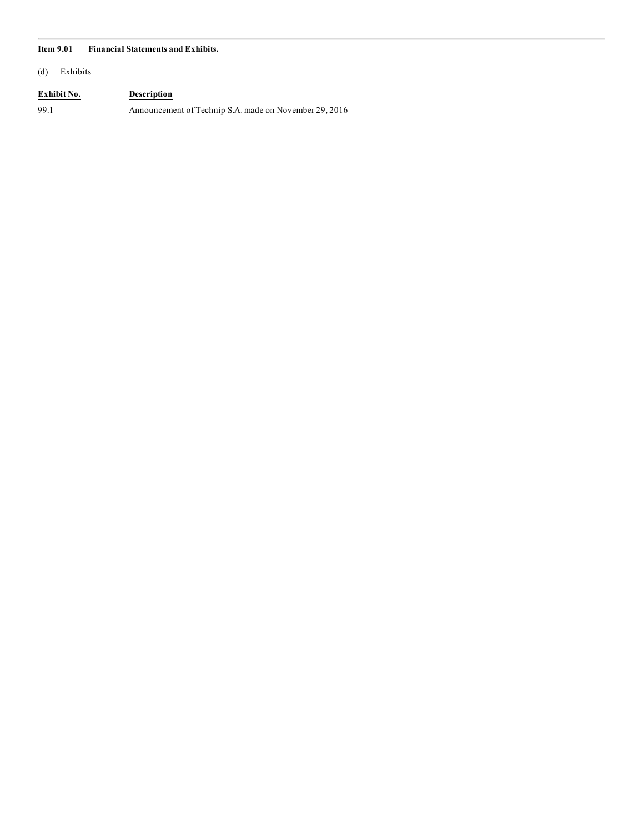#### **Item 9.01 Financial Statements and Exhibits.**

(d) Exhibits

### **Exhibit No. Description**

99.1 Announcement of Technip S.A. made on November 29, 2016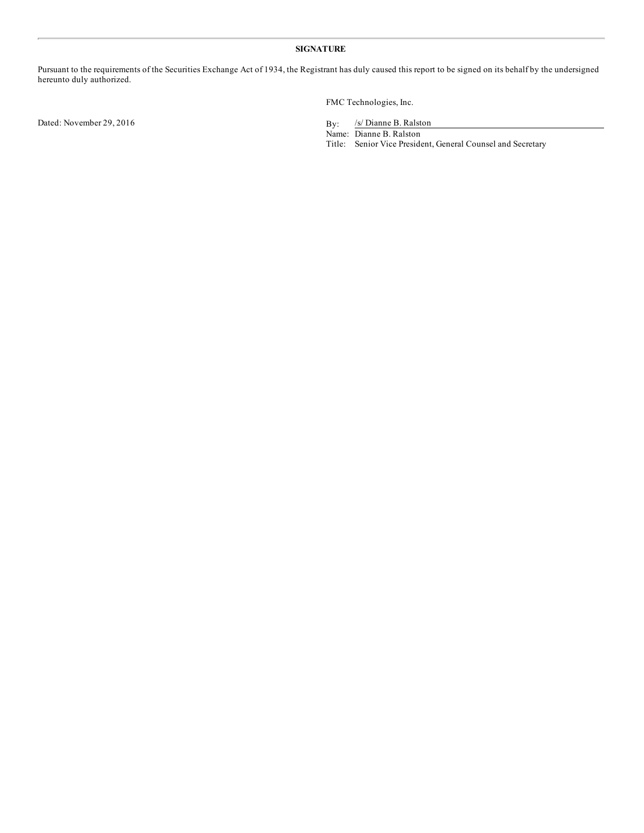#### **SIGNATURE**

Pursuant to the requirements of the Securities Exchange Act of 1934, the Registrant has duly caused this report to be signed on its behalf by the undersigned hereunto duly authorized.

Dated: November 29, 2016 By:

FMC Technologies, Inc.

/s/ Dianne B. Ralston

Name: Dianne B. Ralston

Title: Senior Vice President, General Counsel and Secretary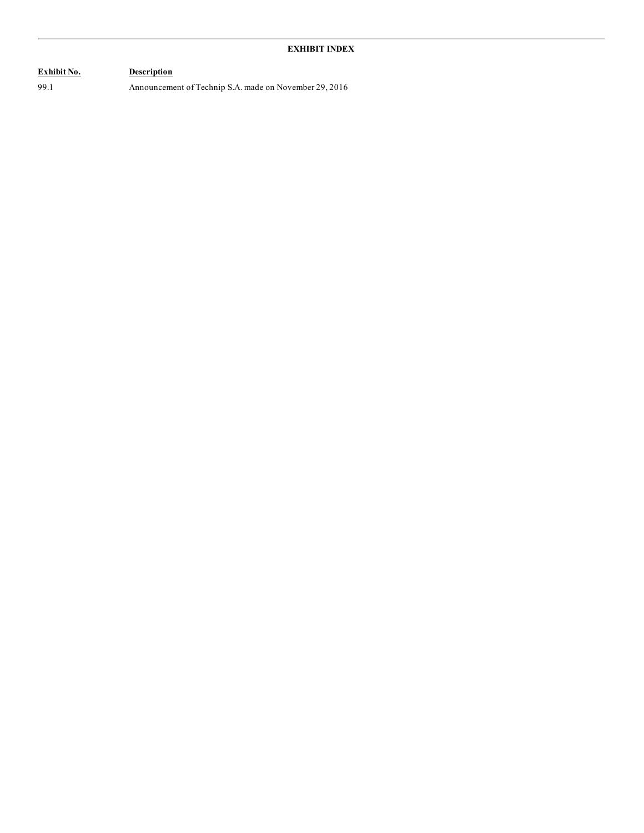## **Exhibit No. Description**

99.1 Announcement of Technip S.A. made on November 29, 2016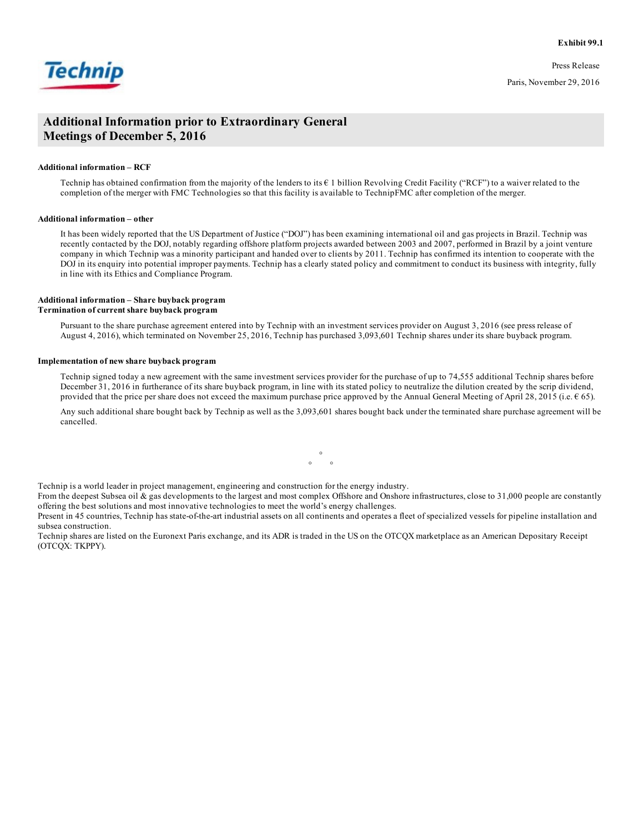**Exhibit 99.1**



Press Release Paris, November 29, 2016

### **Additional Information prior to Extraordinary General Meetings of December 5, 2016**

#### **Additional information – RCF**

Technip has obtained confirmation from the majority of the lenders to its  $\epsilon$  1 billion Revolving Credit Facility ("RCF") to a waiver related to the completion of the merger with FMC Technologies so that this facility is available to TechnipFMC after completion of the merger.

#### **Additional information – other**

It has been widely reported that the US Department of Justice ("DOJ") has been examining international oil and gas projects in Brazil. Technip was recently contacted by the DOJ, notably regarding offshore platform projects awarded between 2003 and 2007, performed in Brazil by a joint venture company in which Technip was a minority participant and handed over to clients by 2011. Technip has confirmed its intention to cooperate with the DOJ in its enquiry into potential improper payments. Technip has a clearly stated policy and commitment to conduct its business with integrity, fully in line with its Ethics and Compliance Program.

#### **Additional information – Share buyback program Termination of current share buyback program**

Pursuant to the share purchase agreement entered into by Technip with an investment services provider on August 3, 2016 (see press release of August 4, 2016), which terminated on November 25, 2016, Technip has purchased 3,093,601 Technip shares under its share buyback program.

#### **Implementation of new share buyback program**

Technip signed today a new agreement with the same investment services provider for the purchase of up to 74,555 additional Technip shares before December 31, 2016 in furtherance of its share buyback program, in line with its stated policy to neutralize the dilution created by the scrip dividend, provided that the price per share does not exceed the maximum purchase price approved by the Annual General Meeting of April 28, 2015 (i.e.  $\epsilon$  65).

Any such additional share bought back by Technip as well as the 3,093,601 shares bought back under the terminated share purchase agreement will be cancelled.

Technip is a world leader in project management, engineering and construction for the energy industry.

From the deepest Subsea oil & gas developments to the largest and most complex Offshore and Onshore infrastructures, close to 31,000 people are constantly offering the best solutions and most innovative technologies to meet the world's energy challenges.

°  $\circ$   $\circ$ 

Present in 45 countries, Technip has state-of-the-art industrial assets on all continents and operates a fleet of specialized vessels for pipeline installation and subsea construction.

Technip shares are listed on the Euronext Paris exchange, and its ADR is traded in the US on the OTCQX marketplace as an American Depositary Receipt (OTCQX: TKPPY).